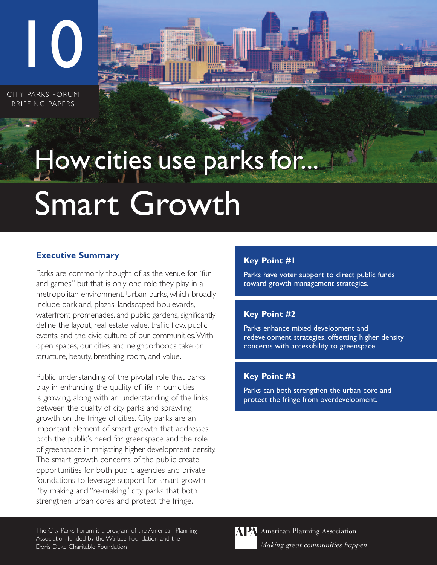CITY PARKS FORUM BRIEFING PAPERS

10

# Smart Growth How cities use parks for...

## **Executive Summary**

Parks are commonly thought of as the venue for "fun and games," but that is only one role they play in a metropolitan environment. Urban parks, which broadly include parkland, plazas, landscaped boulevards, waterfront promenades, and public gardens, significantly define the layout, real estate value, traffic flow, public events, and the civic culture of our communities.With open spaces, our cities and neighborhoods take on structure, beauty, breathing room, and value.

Public understanding of the pivotal role that parks play in enhancing the quality of life in our cities is growing, along with an understanding of the links between the quality of city parks and sprawling growth on the fringe of cities. City parks are an important element of smart growth that addresses both the public's need for greenspace and the role of greenspace in mitigating higher development density. The smart growth concerns of the public create opportunities for both public agencies and private foundations to leverage support for smart growth, "by making and "re-making" city parks that both strengthen urban cores and protect the fringe.

## **Key Point #1**

Parks have voter support to direct public funds toward growth management strategies.

# **Key Point #2**

Parks enhance mixed development and redevelopment strategies, offsetting higher density concerns with accessibility to greenspace.

## **Key Point #3**

Parks can both strengthen the urban core and protect the fringe from overdevelopment.

The City Parks Forum is a program of the American Planning Association funded by the Wallace Foundation and the Doris Duke Charitable Foundation

**APA** American Planning Association *Making great communities happen*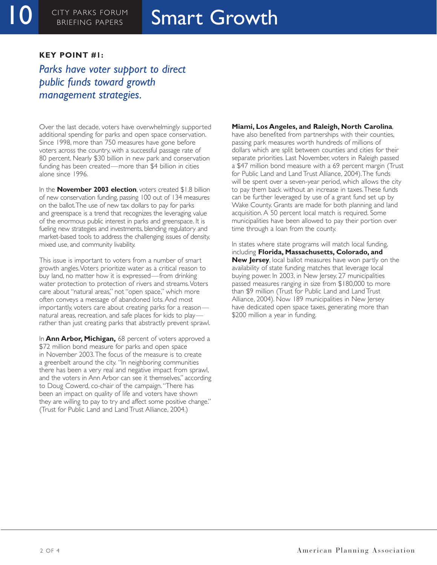# **Smart Growth**

#### **KEY POINT #1:**

*Parks have voter support to direct public funds toward growth management strategies.*

Over the last decade, voters have overwhelmingly supported additional spending for parks and open space conservation. Since 1998, more than 750 measures have gone before voters across the country, with a successful passage rate of 80 percent. Nearly \$30 billion in new park and conservation funding has been created—more than \$4 billion in cities alone since 1996.

In the **November 2003 election**, voters created \$1.8 billion of new conservation funding, passing 100 out of 134 measures on the ballot.The use of new tax dollars to pay for parks and greenspace is a trend that recognizes the leveraging value of the enormous public interest in parks and greenspace. It is fueling new strategies and investments, blending regulatory and market-based tools to address the challenging issues of density, mixed use, and community livability.

This issue is important to voters from a number of smart growth angles.Voters prioritize water as a critical reason to buy land, no matter how it is expressed—from drinking water protection to protection of rivers and streams.Voters care about "natural areas," not "open space," which more often conveys a message of abandoned lots. And most importantly, voters care about creating parks for a reason natural areas, recreation, and safe places for kids to play rather than just creating parks that abstractly prevent sprawl.

In **Ann Arbor, Michigan,** 68 percent of voters approved a \$72 million bond measure for parks and open space in November 2003.The focus of the measure is to create a greenbelt around the city. "In neighboring communities there has been a very real and negative impact from sprawl, and the voters in Ann Arbor can see it themselves," according to Doug Cowerd, co-chair of the campaign."There has been an impact on quality of life and voters have shown they are willing to pay to try and affect some positive change." (Trust for Public Land and Land Trust Alliance, 2004.)

#### **Miami, Los Angeles, and Raleigh, North Carolina**,

have also benefited from partnerships with their counties, passing park measures worth hundreds of millions of dollars which are split between counties and cities for their separate priorities. Last November, voters in Raleigh passed a \$47 million bond measure with a 69 percent margin (Trust for Public Land and Land Trust Alliance, 2004).The funds will be spent over a seven-year period, which allows the city to pay them back without an increase in taxes.These funds can be further leveraged by use of a grant fund set up by Wake County. Grants are made for both planning and land acquisition. A 50 percent local match is required. Some municipalities have been allowed to pay their portion over time through a loan from the county.

In states where state programs will match local funding, including **Florida, Massachusetts, Colorado, and New Jersey**, local ballot measures have won partly on the availability of state funding matches that leverage local buying power. In 2003, in New Jersey, 27 municipalities passed measures ranging in size from \$180,000 to more than \$9 million (Trust for Public Land and Land Trust Alliance, 2004). Now 189 municipalities in New Jersey have dedicated open space taxes, generating more than \$200 million a year in funding.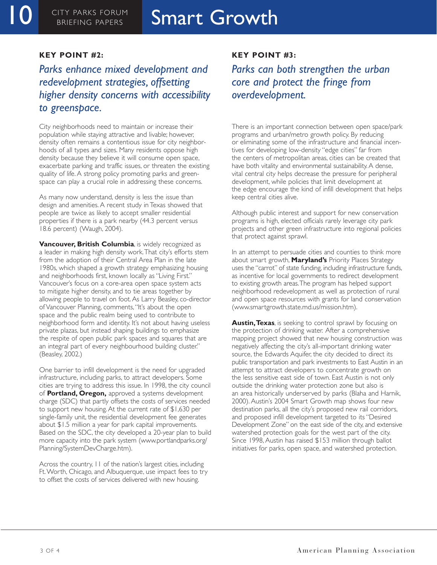#### **KEY POINT #2:**

# *Parks enhance mixed development and redevelopment strategies, offsetting higher density concerns with accessibility to greenspace.*

City neighborhoods need to maintain or increase their population while staying attractive and livable; however, density often remains a contentious issue for city neighborhoods of all types and sizes. Many residents oppose high density because they believe it will consume open space, exacerbate parking and traffic issues, or threaten the existing quality of life. A strong policy promoting parks and greenspace can play a crucial role in addressing these concerns.

As many now understand, density is less the issue than design and amenities. A recent study in Texas showed that people are twice as likely to accept smaller residential properties if there is a park nearby (44.3 percent versus 18.6 percent) (Waugh, 2004).

**Vancouver, British Columbia**, is widely recognized as a leader in making high density work.That city's efforts stem from the adoption of their Central Area Plan in the late 1980s, which shaped a growth strategy emphasizing housing and neighborhoods first, known locally as "Living First." Vancouver's focus on a core-area open space system acts to mitigate higher density, and to tie areas together by allowing people to travel on foot. As Larry Beasley, co-director of Vancouver Planning, comments,"It's about the open space and the public realm being used to contribute to neighborhood form and identity. It's not about having useless private plazas, but instead shaping buildings to emphasize the respite of open public park spaces and squares that are an integral part of every neighbourhood building cluster." (Beasley, 2002.)

One barrier to infill development is the need for upgraded infrastructure, including parks, to attract developers. Some cities are trying to address this issue. In 1998, the city council of **Portland, Oregon,** approved a systems development charge (SDC) that partly offsets the costs of services needed to support new housing. At the current rate of \$1,630 per single-family unit, the residential development fee generates about \$1.5 million a year for park capital improvements. Based on the SDC, the city developed a 20-year plan to build more capacity into the park system (www.portlandparks.org/ Planning/SystemDevCharge.htm).

Across the country, 11 of the nation's largest cities, including Ft.Worth, Chicago, and Albuquerque, use impact fees to try to offset the costs of services delivered with new housing.

#### **KEY POINT #3:**

# *Parks can both strengthen the urban core and protect the fringe from overdevelopment.*

There is an important connection between open space/park programs and urban/metro growth policy. By reducing or eliminating some of the infrastructure and financial incentives for developing low-density "edge cities" far from the centers of metropolitan areas, cities can be created that have both vitality and environmental sustainability. A dense, vital central city helps decrease the pressure for peripheral development, while policies that limit development at the edge encourage the kind of infill development that helps keep central cities alive.

Although public interest and support for new conservation programs is high, elected officials rarely leverage city park projects and other green infrastructure into regional policies that protect against sprawl.

In an attempt to persuade cities and counties to think more about smart growth, **Maryland's** Priority Places Strategy uses the "carrot" of state funding, including infrastructure funds, as incentive for local governments to redirect development to existing growth areas.The program has helped support neighborhood redevelopment as well as protection of rural and open space resources with grants for land conservation (www.smartgrowth.state.md.us/mission.htm).

**Austin,Texas**, is seeking to control sprawl by focusing on the protection of drinking water. After a comprehensive mapping project showed that new housing construction was negatively affecting the city's all-important drinking water source, the Edwards Aquifer, the city decided to direct its public transportation and park investments to East Austin in an attempt to attract developers to concentrate growth on the less sensitive east side of town. East Austin is not only outside the drinking water protection zone but also is an area historically underserved by parks (Blaha and Harnik, 2000).Austin's 2004 Smart Growth map shows four new destination parks, all the city's proposed new rail corridors, and proposed infill development targeted to its "Desired Development Zone" on the east side of the city, and extensive watershed protection goals for the west part of the city. Since 1998, Austin has raised \$153 million through ballot initiatives for parks, open space, and watershed protection.